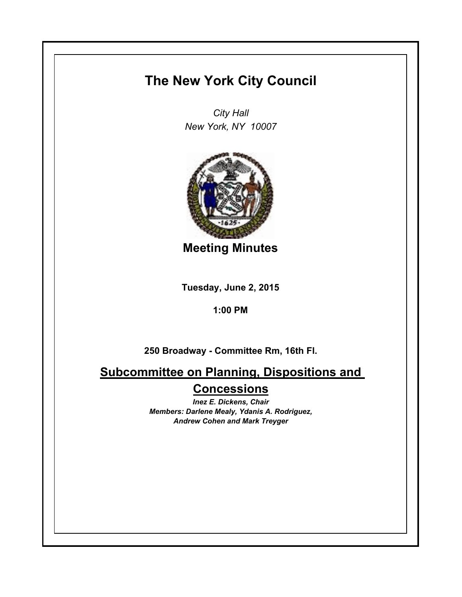## **The New York City Council**

*City Hall New York, NY 10007*



**Meeting Minutes**

**Tuesday, June 2, 2015**

**1:00 PM**

**250 Broadway - Committee Rm, 16th Fl.**

**Subcommittee on Planning, Dispositions and Concessions**

> *Inez E. Dickens, Chair Members: Darlene Mealy, Ydanis A. Rodriguez, Andrew Cohen and Mark Treyger*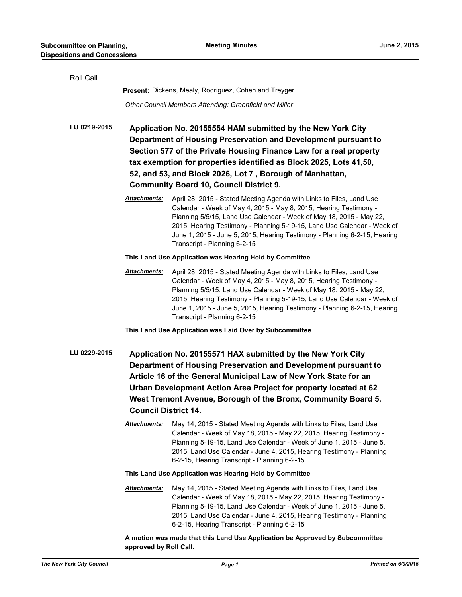| Roll Call    |                                                                                                                                                                                                                                                                                                                                                                                         |                                                                                                                                                                                                                                                                                                                                                                                                          |  |
|--------------|-----------------------------------------------------------------------------------------------------------------------------------------------------------------------------------------------------------------------------------------------------------------------------------------------------------------------------------------------------------------------------------------|----------------------------------------------------------------------------------------------------------------------------------------------------------------------------------------------------------------------------------------------------------------------------------------------------------------------------------------------------------------------------------------------------------|--|
|              | Present: Dickens, Mealy, Rodriguez, Cohen and Treyger                                                                                                                                                                                                                                                                                                                                   |                                                                                                                                                                                                                                                                                                                                                                                                          |  |
|              | Other Council Members Attending: Greenfield and Miller                                                                                                                                                                                                                                                                                                                                  |                                                                                                                                                                                                                                                                                                                                                                                                          |  |
| LU 0219-2015 | Application No. 20155554 HAM submitted by the New York City<br>Department of Housing Preservation and Development pursuant to<br>Section 577 of the Private Housing Finance Law for a real property<br>tax exemption for properties identified as Block 2025, Lots 41,50,<br>52, and 53, and Block 2026, Lot 7, Borough of Manhattan,<br><b>Community Board 10, Council District 9.</b> |                                                                                                                                                                                                                                                                                                                                                                                                          |  |
|              | Attachments:                                                                                                                                                                                                                                                                                                                                                                            | April 28, 2015 - Stated Meeting Agenda with Links to Files, Land Use<br>Calendar - Week of May 4, 2015 - May 8, 2015, Hearing Testimony -<br>Planning 5/5/15, Land Use Calendar - Week of May 18, 2015 - May 22,<br>2015, Hearing Testimony - Planning 5-19-15, Land Use Calendar - Week of<br>June 1, 2015 - June 5, 2015, Hearing Testimony - Planning 6-2-15, Hearing<br>Transcript - Planning 6-2-15 |  |
|              | This Land Use Application was Hearing Held by Committee                                                                                                                                                                                                                                                                                                                                 |                                                                                                                                                                                                                                                                                                                                                                                                          |  |
|              | Attachments:                                                                                                                                                                                                                                                                                                                                                                            | April 28, 2015 - Stated Meeting Agenda with Links to Files, Land Use<br>Calendar - Week of May 4, 2015 - May 8, 2015, Hearing Testimony -<br>Planning 5/5/15, Land Use Calendar - Week of May 18, 2015 - May 22,<br>2015, Hearing Testimony - Planning 5-19-15, Land Use Calendar - Week of<br>June 1, 2015 - June 5, 2015, Hearing Testimony - Planning 6-2-15, Hearing<br>Transcript - Planning 6-2-15 |  |
|              |                                                                                                                                                                                                                                                                                                                                                                                         | This Land Use Application was Laid Over by Subcommittee                                                                                                                                                                                                                                                                                                                                                  |  |
| LU 0229-2015 | Application No. 20155571 HAX submitted by the New York City<br>Department of Housing Preservation and Development pursuant to<br>Article 16 of the General Municipal Law of New York State for an<br>Urban Development Action Area Project for property located at 62<br>West Tremont Avenue, Borough of the Bronx, Community Board 5,<br><b>Council District 14.</b>                   |                                                                                                                                                                                                                                                                                                                                                                                                          |  |
|              | <u> Attachments:</u>                                                                                                                                                                                                                                                                                                                                                                    | May 14, 2015 - Stated Meeting Agenda with Links to Files, Land Use<br>Calendar - Week of May 18, 2015 - May 22, 2015, Hearing Testimony -<br>Planning 5-19-15, Land Use Calendar - Week of June 1, 2015 - June 5,<br>2015, Land Use Calendar - June 4, 2015, Hearing Testimony - Planning<br>6-2-15, Hearing Transcript - Planning 6-2-15                                                                |  |
|              | This Land Use Application was Hearing Held by Committee                                                                                                                                                                                                                                                                                                                                 |                                                                                                                                                                                                                                                                                                                                                                                                          |  |
|              | Attachments:                                                                                                                                                                                                                                                                                                                                                                            | May 14, 2015 - Stated Meeting Agenda with Links to Files, Land Use<br>Calendar - Week of May 18, 2015 - May 22, 2015, Hearing Testimony -<br>Planning 5-19-15, Land Use Calendar - Week of June 1, 2015 - June 5,<br>2015, Land Use Calendar - June 4, 2015, Hearing Testimony - Planning<br>6-2-15, Hearing Transcript - Planning 6-2-15                                                                |  |
|              |                                                                                                                                                                                                                                                                                                                                                                                         |                                                                                                                                                                                                                                                                                                                                                                                                          |  |

**A motion was made that this Land Use Application be Approved by Subcommittee approved by Roll Call.**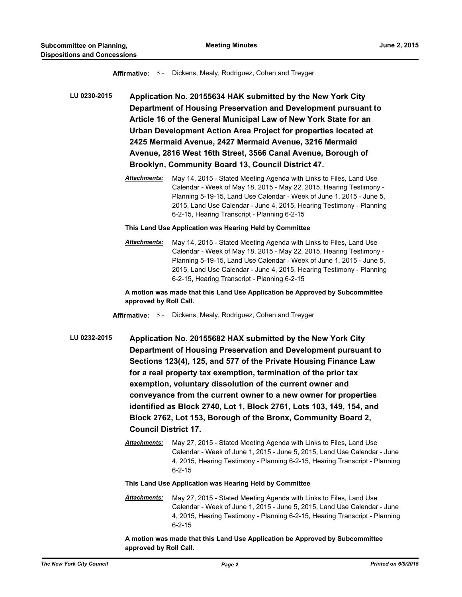**Affirmative:** 5 - Dickens, Mealy, Rodriguez, Cohen and Treyger

**LU 0230-2015 Application No. 20155634 HAK submitted by the New York City Department of Housing Preservation and Development pursuant to Article 16 of the General Municipal Law of New York State for an Urban Development Action Area Project for properties located at 2425 Mermaid Avenue, 2427 Mermaid Avenue, 3216 Mermaid Avenue, 2816 West 16th Street, 3566 Canal Avenue, Borough of Brooklyn, Community Board 13, Council District 47.**

> *Attachments:* May 14, 2015 - Stated Meeting Agenda with Links to Files, Land Use Calendar - Week of May 18, 2015 - May 22, 2015, Hearing Testimony - Planning 5-19-15, Land Use Calendar - Week of June 1, 2015 - June 5, 2015, Land Use Calendar - June 4, 2015, Hearing Testimony - Planning 6-2-15, Hearing Transcript - Planning 6-2-15

**This Land Use Application was Hearing Held by Committee**

*Attachments:* May 14, 2015 - Stated Meeting Agenda with Links to Files, Land Use Calendar - Week of May 18, 2015 - May 22, 2015, Hearing Testimony - Planning 5-19-15, Land Use Calendar - Week of June 1, 2015 - June 5, 2015, Land Use Calendar - June 4, 2015, Hearing Testimony - Planning 6-2-15, Hearing Transcript - Planning 6-2-15

**A motion was made that this Land Use Application be Approved by Subcommittee approved by Roll Call.**

- **Affirmative:** 5 Dickens, Mealy, Rodriguez, Cohen and Treyger
- **LU 0232-2015 Application No. 20155682 HAX submitted by the New York City Department of Housing Preservation and Development pursuant to Sections 123(4), 125, and 577 of the Private Housing Finance Law for a real property tax exemption, termination of the prior tax exemption, voluntary dissolution of the current owner and conveyance from the current owner to a new owner for properties identified as Block 2740, Lot 1, Block 2761, Lots 103, 149, 154, and Block 2762, Lot 153, Borough of the Bronx, Community Board 2, Council District 17.**
	- *Attachments:* May 27, 2015 Stated Meeting Agenda with Links to Files, Land Use Calendar - Week of June 1, 2015 - June 5, 2015, Land Use Calendar - June 4, 2015, Hearing Testimony - Planning 6-2-15, Hearing Transcript - Planning 6-2-15

**This Land Use Application was Hearing Held by Committee**

*Attachments:* May 27, 2015 - Stated Meeting Agenda with Links to Files, Land Use Calendar - Week of June 1, 2015 - June 5, 2015, Land Use Calendar - June 4, 2015, Hearing Testimony - Planning 6-2-15, Hearing Transcript - Planning 6-2-15

**A motion was made that this Land Use Application be Approved by Subcommittee approved by Roll Call.**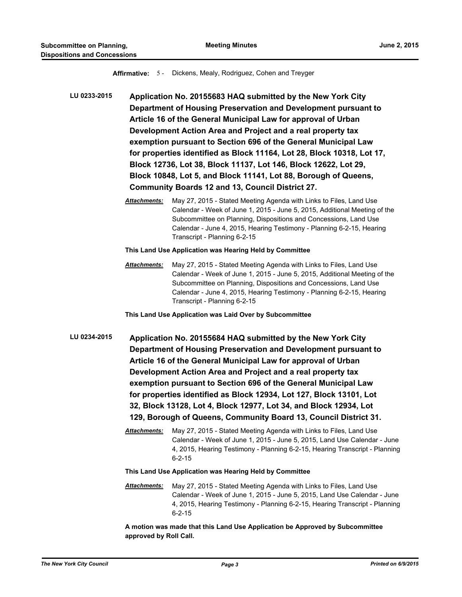**Affirmative:** 5 - Dickens, Mealy, Rodriguez, Cohen and Treyger

- **LU 0233-2015 Application No. 20155683 HAQ submitted by the New York City Department of Housing Preservation and Development pursuant to Article 16 of the General Municipal Law for approval of Urban Development Action Area and Project and a real property tax exemption pursuant to Section 696 of the General Municipal Law for properties identified as Block 11164, Lot 28, Block 10318, Lot 17, Block 12736, Lot 38, Block 11137, Lot 146, Block 12622, Lot 29, Block 10848, Lot 5, and Block 11141, Lot 88, Borough of Queens, Community Boards 12 and 13, Council District 27.**
	- *Attachments:* May 27, 2015 Stated Meeting Agenda with Links to Files, Land Use Calendar - Week of June 1, 2015 - June 5, 2015, Additional Meeting of the Subcommittee on Planning, Dispositions and Concessions, Land Use Calendar - June 4, 2015, Hearing Testimony - Planning 6-2-15, Hearing Transcript - Planning 6-2-15

**This Land Use Application was Hearing Held by Committee**

*Attachments:* May 27, 2015 - Stated Meeting Agenda with Links to Files, Land Use Calendar - Week of June 1, 2015 - June 5, 2015, Additional Meeting of the Subcommittee on Planning, Dispositions and Concessions, Land Use Calendar - June 4, 2015, Hearing Testimony - Planning 6-2-15, Hearing Transcript - Planning 6-2-15

**This Land Use Application was Laid Over by Subcommittee**

- **LU 0234-2015 Application No. 20155684 HAQ submitted by the New York City Department of Housing Preservation and Development pursuant to Article 16 of the General Municipal Law for approval of Urban Development Action Area and Project and a real property tax exemption pursuant to Section 696 of the General Municipal Law for properties identified as Block 12934, Lot 127, Block 13101, Lot 32, Block 13128, Lot 4, Block 12977, Lot 34, and Block 12934, Lot 129, Borough of Queens, Community Board 13, Council District 31.**
	- *Attachments:* May 27, 2015 Stated Meeting Agenda with Links to Files, Land Use Calendar - Week of June 1, 2015 - June 5, 2015, Land Use Calendar - June 4, 2015, Hearing Testimony - Planning 6-2-15, Hearing Transcript - Planning 6-2-15

**This Land Use Application was Hearing Held by Committee**

*Attachments:* May 27, 2015 - Stated Meeting Agenda with Links to Files, Land Use Calendar - Week of June 1, 2015 - June 5, 2015, Land Use Calendar - June 4, 2015, Hearing Testimony - Planning 6-2-15, Hearing Transcript - Planning 6-2-15

**A motion was made that this Land Use Application be Approved by Subcommittee approved by Roll Call.**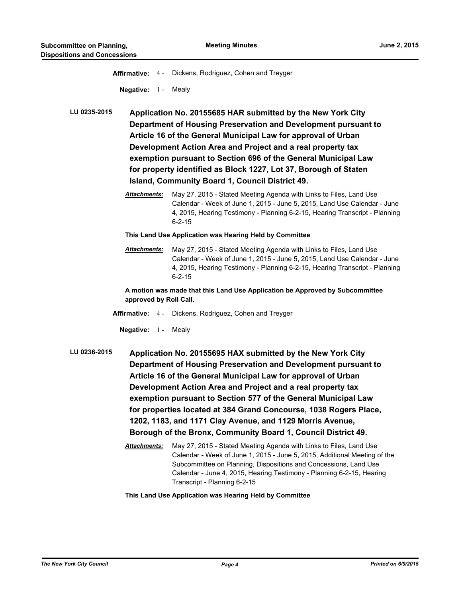| <b>Affirmative: 4-</b>                                                                                                                                                                                                                                                                                                                                                                                                                                                                                                                             | Dickens, Rodriguez, Cohen and Treyger                                                                                                                                                                                                                                                                                                                                                                                                                  |  |
|----------------------------------------------------------------------------------------------------------------------------------------------------------------------------------------------------------------------------------------------------------------------------------------------------------------------------------------------------------------------------------------------------------------------------------------------------------------------------------------------------------------------------------------------------|--------------------------------------------------------------------------------------------------------------------------------------------------------------------------------------------------------------------------------------------------------------------------------------------------------------------------------------------------------------------------------------------------------------------------------------------------------|--|
| Negative: $1 -$                                                                                                                                                                                                                                                                                                                                                                                                                                                                                                                                    | Mealy                                                                                                                                                                                                                                                                                                                                                                                                                                                  |  |
| LU 0235-2015                                                                                                                                                                                                                                                                                                                                                                                                                                                                                                                                       | Application No. 20155685 HAR submitted by the New York City<br>Department of Housing Preservation and Development pursuant to<br>Article 16 of the General Municipal Law for approval of Urban<br>Development Action Area and Project and a real property tax<br>exemption pursuant to Section 696 of the General Municipal Law<br>for property identified as Block 1227, Lot 37, Borough of Staten<br>Island, Community Board 1, Council District 49. |  |
| Attachments:                                                                                                                                                                                                                                                                                                                                                                                                                                                                                                                                       | May 27, 2015 - Stated Meeting Agenda with Links to Files, Land Use<br>Calendar - Week of June 1, 2015 - June 5, 2015, Land Use Calendar - June<br>4, 2015, Hearing Testimony - Planning 6-2-15, Hearing Transcript - Planning<br>$6 - 2 - 15$                                                                                                                                                                                                          |  |
| This Land Use Application was Hearing Held by Committee                                                                                                                                                                                                                                                                                                                                                                                                                                                                                            |                                                                                                                                                                                                                                                                                                                                                                                                                                                        |  |
| Attachments:                                                                                                                                                                                                                                                                                                                                                                                                                                                                                                                                       | May 27, 2015 - Stated Meeting Agenda with Links to Files, Land Use<br>Calendar - Week of June 1, 2015 - June 5, 2015, Land Use Calendar - June<br>4, 2015, Hearing Testimony - Planning 6-2-15, Hearing Transcript - Planning<br>$6 - 2 - 15$                                                                                                                                                                                                          |  |
|                                                                                                                                                                                                                                                                                                                                                                                                                                                                                                                                                    | A motion was made that this Land Use Application be Approved by Subcommittee<br>approved by Roll Call.                                                                                                                                                                                                                                                                                                                                                 |  |
|                                                                                                                                                                                                                                                                                                                                                                                                                                                                                                                                                    | Affirmative: 4 - Dickens, Rodriguez, Cohen and Treyger                                                                                                                                                                                                                                                                                                                                                                                                 |  |
| <b>Negative:</b> 1 -                                                                                                                                                                                                                                                                                                                                                                                                                                                                                                                               | Mealy                                                                                                                                                                                                                                                                                                                                                                                                                                                  |  |
| LU 0236-2015<br>Application No. 20155695 HAX submitted by the New York City<br>Department of Housing Preservation and Development pursuant to<br>Article 16 of the General Municipal Law for approval of Urban<br>Development Action Area and Project and a real property tax<br>exemption pursuant to Section 577 of the General Municipal Law<br>for properties located at 384 Grand Concourse, 1038 Rogers Place,<br>1202, 1183, and 1171 Clay Avenue, and 1129 Morris Avenue,<br>Borough of the Bronx, Community Board 1, Council District 49. |                                                                                                                                                                                                                                                                                                                                                                                                                                                        |  |
| Attachments:                                                                                                                                                                                                                                                                                                                                                                                                                                                                                                                                       | May 27, 2015 - Stated Meeting Agenda with Links to Files, Land Use<br>Calendar - Week of June 1, 2015 - June 5, 2015, Additional Meeting of the<br>Subcommittee on Planning, Dispositions and Concessions, Land Use<br>Calendar - June 4, 2015, Hearing Testimony - Planning 6-2-15, Hearing<br>Transcript - Planning 6-2-15                                                                                                                           |  |
|                                                                                                                                                                                                                                                                                                                                                                                                                                                                                                                                                    | This Land Use Application was Hearing Held by Committee                                                                                                                                                                                                                                                                                                                                                                                                |  |